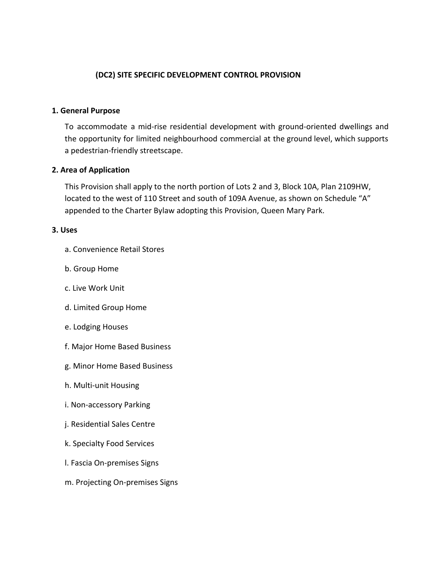# **(DC2) SITE SPECIFIC DEVELOPMENT CONTROL PROVISION**

#### **1. General Purpose**

To accommodate a mid-rise residential development with ground-oriented dwellings and the opportunity for limited neighbourhood commercial at the ground level, which supports a pedestrian-friendly streetscape.

### **2. Area of Application**

This Provision shall apply to the north portion of Lots 2 and 3, Block 10A, Plan 2109HW, located to the west of 110 Street and south of 109A Avenue, as shown on Schedule "A" appended to the Charter Bylaw adopting this Provision, Queen Mary Park.

#### **3. Uses**

- a. Convenience Retail Stores
- b. Group Home
- c. Live Work Unit
- d. Limited Group Home
- e. Lodging Houses
- f. Major Home Based Business
- g. Minor Home Based Business
- h. Multi-unit Housing
- i. Non-accessory Parking
- j. Residential Sales Centre
- k. Specialty Food Services
- l. Fascia On-premises Signs
- m. Projecting On-premises Signs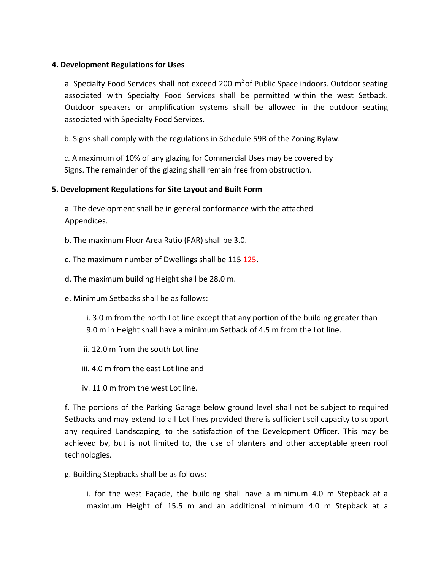### **4. Development Regulations for Uses**

a. Specialty Food Services shall not exceed 200  $\text{m}^2$  of Public Space indoors. Outdoor seating associated with Specialty Food Services shall be permitted within the west Setback. Outdoor speakers or amplification systems shall be allowed in the outdoor seating associated with Specialty Food Services.

b. Signs shall comply with the regulations in Schedule 59B of the Zoning Bylaw.

c. A maximum of 10% of any glazing for Commercial Uses may be covered by Signs. The remainder of the glazing shall remain free from obstruction.

### **5. Development Regulations for Site Layout and Built Form**

a. The development shall be in general conformance with the attached Appendices.

b. The maximum Floor Area Ratio (FAR) shall be 3.0.

c. The maximum number of Dwellings shall be  $115$  125.

d. The maximum building Height shall be 28.0 m.

e. Minimum Setbacks shall be as follows:

i. 3.0 m from the north Lot line except that any portion of the building greater than 9.0 m in Height shall have a minimum Setback of 4.5 m from the Lot line.

- ii. 12.0 m from the south Lot line
- iii. 4.0 m from the east Lot line and
- iv. 11.0 m from the west Lot line.

f. The portions of the Parking Garage below ground level shall not be subject to required Setbacks and may extend to all Lot lines provided there is sufficient soil capacity to support any required Landscaping, to the satisfaction of the Development Officer. This may be achieved by, but is not limited to, the use of planters and other acceptable green roof technologies.

g. Building Stepbacks shall be as follows:

i. for the west Façade, the building shall have a minimum 4.0 m Stepback at a maximum Height of 15.5 m and an additional minimum 4.0 m Stepback at a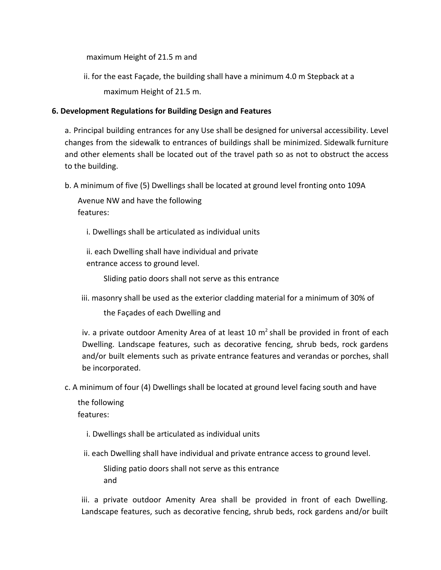maximum Height of 21.5 m and

ii. for the east Façade, the building shall have a minimum 4.0 m Stepback at a maximum Height of 21.5 m.

# **6. Development Regulations for Building Design and Features**

a. Principal building entrances for any Use shall be designed for universal accessibility. Level changes from the sidewalk to entrances of buildings shall be minimized. Sidewalk furniture and other elements shall be located out of the travel path so as not to obstruct the access to the building.

b. A minimum of five (5) Dwellings shall be located at ground level fronting onto 109A

Avenue NW and have the following features:

i. Dwellings shall be articulated as individual units

ii. each Dwelling shall have individual and private entrance access to ground level.

Sliding patio doors shall not serve as this entrance

iii. masonry shall be used as the exterior cladding material for a minimum of 30% of

the Façades of each Dwelling and

iv. a private outdoor Amenity Area of at least 10  $m<sup>2</sup>$  shall be provided in front of each Dwelling. Landscape features, such as decorative fencing, shrub beds, rock gardens and/or built elements such as private entrance features and verandas or porches, shall be incorporated.

c. A minimum of four (4) Dwellings shall be located at ground level facing south and have

the following features:

i. Dwellings shall be articulated as individual units

ii. each Dwelling shall have individual and private entrance access to ground level.

Sliding patio doors shall not serve as this entrance and

iii. a private outdoor Amenity Area shall be provided in front of each Dwelling. Landscape features, such as decorative fencing, shrub beds, rock gardens and/or built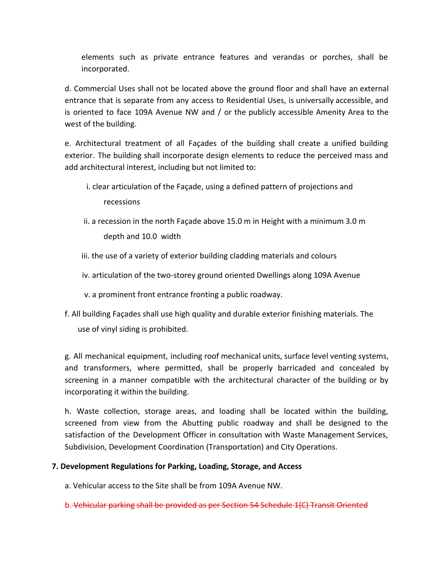elements such as private entrance features and verandas or porches, shall be incorporated.

d. Commercial Uses shall not be located above the ground floor and shall have an external entrance that is separate from any access to Residential Uses, is universally accessible, and is oriented to face 109A Avenue NW and / or the publicly accessible Amenity Area to the west of the building.

e. Architectural treatment of all Façades of the building shall create a unified building exterior. The building shall incorporate design elements to reduce the perceived mass and add architectural interest, including but not limited to:

- i. clear articulation of the Façade, using a defined pattern of projections and recessions
- ii. a recession in the north Façade above 15.0 m in Height with a minimum 3.0 m depth and 10.0 width
- iii. the use of a variety of exterior building cladding materials and colours
- iv. articulation of the two-storey ground oriented Dwellings along 109A Avenue
- v. a prominent front entrance fronting a public roadway.
- f. All building Façades shall use high quality and durable exterior finishing materials. The use of vinyl siding is prohibited.

g. All mechanical equipment, including roof mechanical units, surface level venting systems, and transformers, where permitted, shall be properly barricaded and concealed by screening in a manner compatible with the architectural character of the building or by incorporating it within the building.

h. Waste collection, storage areas, and loading shall be located within the building, screened from view from the Abutting public roadway and shall be designed to the satisfaction of the Development Officer in consultation with Waste Management Services, Subdivision, Development Coordination (Transportation) and City Operations.

# **7. Development Regulations for Parking, Loading, Storage, and Access**

a. Vehicular access to the Site shall be from 109A Avenue NW.

b. Vehicular parking shall be provided as per Section 54 Schedule 1(C) Transit Oriented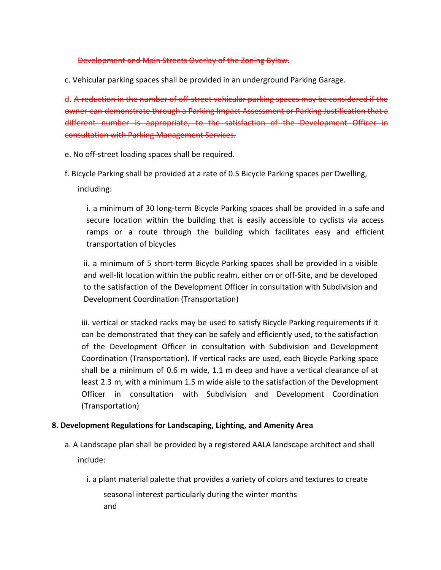#### Development and Main Streets Overlay of the Zoning Bylaw.

c. Vehicular parking spaces shall be provided in an underground Parking Garage.

d. A reduction in the number of off-street vehicular parking spaces may be considered if the owner can demonstrate through a Parking Impact Assessment or Parking Justification that a different number is appropriate, to the satisfaction of the Development Officer in consultation with Parking Management Services.

- e. No off-street loading spaces shall be required.
- f. Bicycle Parking shall be provided at a rate of 0.5 Bicycle Parking spaces per Dwelling,

including:

i. a minimum of 30 long-term Bicycle Parking spaces shall be provided in a safe and secure location within the building that is easily accessible to cyclists via access ramps or a route through the building which facilitates easy and efficient transportation of bicycles

ii. a minimum of 5 short-term Bicycle Parking spaces shall be provided in a visible and well-lit location within the public realm, either on or off-Site, and be developed to the satisfaction of the Development Officer in consultation with Subdivision and Development Coordination (Transportation)

iii. vertical or stacked racks may be used to satisfy Bicycle Parking requirements if it can be demonstrated that they can be safely and efficiently used, to the satisfaction of the Development Officer in consultation with Subdivision and Development Coordination (Transportation). If vertical racks are used, each Bicycle Parking space shall be a minimum of 0.6 m wide, 1.1 m deep and have a vertical clearance of at least 2.3 m, with a minimum 1.5 m wide aisle to the satisfaction of the Development Officer in consultation with Subdivision and Development Coordination (Transportation)

### **8. Development Regulations for Landscaping, Lighting, and Amenity Area**

- a. A Landscape plan shall be provided by a registered AALA landscape architect and shall include:
	- i. a plant material palette that provides a variety of colors and textures to create seasonal interest particularly during the winter months and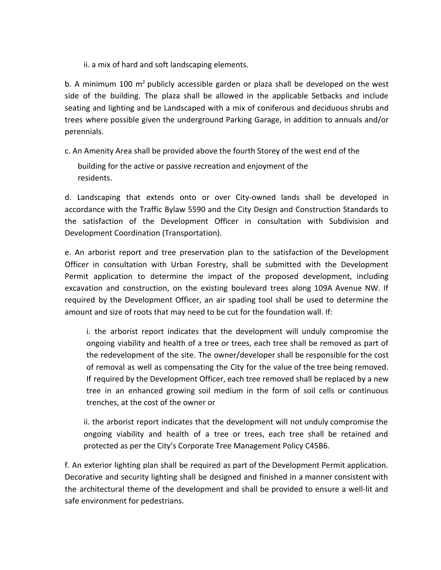ii. a mix of hard and soft landscaping elements.

b. A minimum 100  $m^2$  publicly accessible garden or plaza shall be developed on the west side of the building. The plaza shall be allowed in the applicable Setbacks and include seating and lighting and be Landscaped with a mix of coniferous and deciduous shrubs and trees where possible given the underground Parking Garage, in addition to annuals and/or perennials.

c. An Amenity Area shall be provided above the fourth Storey of the west end of the

building for the active or passive recreation and enjoyment of the residents.

d. Landscaping that extends onto or over City-owned lands shall be developed in accordance with the Traffic Bylaw 5590 and the City Design and Construction Standards to the satisfaction of the Development Officer in consultation with Subdivision and Development Coordination (Transportation).

e. An arborist report and tree preservation plan to the satisfaction of the Development Officer in consultation with Urban Forestry, shall be submitted with the Development Permit application to determine the impact of the proposed development, including excavation and construction, on the existing boulevard trees along 109A Avenue NW. If required by the Development Officer, an air spading tool shall be used to determine the amount and size of roots that may need to be cut for the foundation wall. If:

i. the arborist report indicates that the development will unduly compromise the ongoing viability and health of a tree or trees, each tree shall be removed as part of the redevelopment of the site. The owner/developer shall be responsible for the cost of removal as well as compensating the City for the value of the tree being removed. If required by the Development Officer, each tree removed shall be replaced by a new tree in an enhanced growing soil medium in the form of soil cells or continuous trenches, at the cost of the owner or

ii. the arborist report indicates that the development will not unduly compromise the ongoing viability and health of a tree or trees, each tree shall be retained and protected as per the City's Corporate Tree Management Policy C45B6.

f. An exterior lighting plan shall be required as part of the Development Permit application. Decorative and security lighting shall be designed and finished in a manner consistent with the architectural theme of the development and shall be provided to ensure a well-lit and safe environment for pedestrians.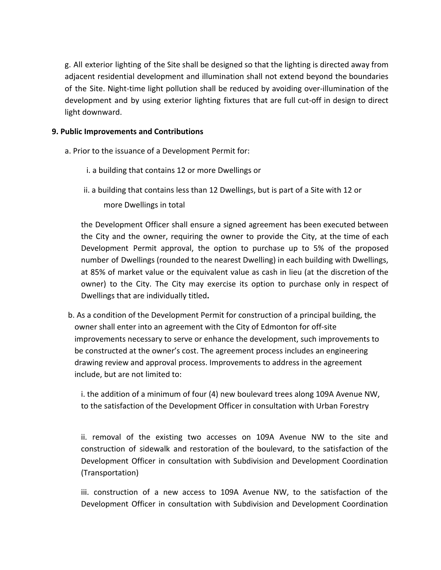g. All exterior lighting of the Site shall be designed so that the lighting is directed away from adjacent residential development and illumination shall not extend beyond the boundaries of the Site. Night-time light pollution shall be reduced by avoiding over-illumination of the development and by using exterior lighting fixtures that are full cut-off in design to direct light downward.

### **9. Public Improvements and Contributions**

- a. Prior to the issuance of a Development Permit for:
	- i. a building that contains 12 or more Dwellings or
	- ii. a building that contains less than 12 Dwellings, but is part of a Site with 12 or more Dwellings in total

the Development Officer shall ensure a signed agreement has been executed between the City and the owner, requiring the owner to provide the City, at the time of each Development Permit approval, the option to purchase up to 5% of the proposed number of Dwellings (rounded to the nearest Dwelling) in each building with Dwellings, at 85% of market value or the equivalent value as cash in lieu (at the discretion of the owner) to the City. The City may exercise its option to purchase only in respect of Dwellings that are individually titled**.**

b. As a condition of the Development Permit for construction of a principal building, the owner shall enter into an agreement with the City of Edmonton for off-site improvements necessary to serve or enhance the development, such improvements to be constructed at the owner's cost. The agreement process includes an engineering drawing review and approval process. Improvements to address in the agreement include, but are not limited to:

i. the addition of a minimum of four (4) new boulevard trees along 109A Avenue NW, to the satisfaction of the Development Officer in consultation with Urban Forestry

ii. removal of the existing two accesses on 109A Avenue NW to the site and construction of sidewalk and restoration of the boulevard, to the satisfaction of the Development Officer in consultation with Subdivision and Development Coordination (Transportation)

iii. construction of a new access to 109A Avenue NW, to the satisfaction of the Development Officer in consultation with Subdivision and Development Coordination